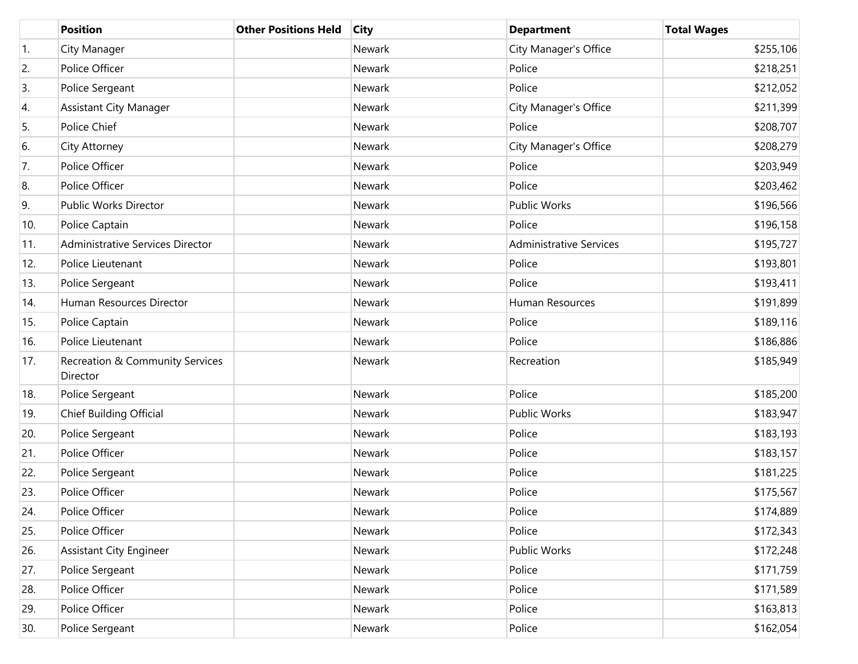|                  | <b>Position</b>                             | <b>Other Positions Held</b> | <b>City</b> | <b>Department</b>              | <b>Total Wages</b> |
|------------------|---------------------------------------------|-----------------------------|-------------|--------------------------------|--------------------|
| $\overline{1}$ . | City Manager                                |                             | Newark      | City Manager's Office          | \$255,106          |
| 2.               | Police Officer                              |                             | Newark      | Police                         | \$218,251          |
| 3.               | Police Sergeant                             |                             | Newark      | Police                         | \$212,052          |
| 4.               | <b>Assistant City Manager</b>               |                             | Newark      | City Manager's Office          | \$211,399          |
| 5.               | Police Chief                                |                             | Newark      | Police                         | \$208,707          |
| 6.               | City Attorney                               |                             | Newark      | City Manager's Office          | \$208,279          |
| 7.               | Police Officer                              |                             | Newark      | Police                         | \$203,949          |
| 8.               | Police Officer                              |                             | Newark      | Police                         | \$203,462          |
| 9.               | Public Works Director                       |                             | Newark      | Public Works                   | \$196,566          |
| 10.              | Police Captain                              |                             | Newark      | Police                         | \$196,158          |
| 11.              | Administrative Services Director            |                             | Newark      | <b>Administrative Services</b> | \$195,727          |
| 12.              | Police Lieutenant                           |                             | Newark      | Police                         | \$193,801          |
| 13.              | Police Sergeant                             |                             | Newark      | Police                         | \$193,411          |
| 14.              | Human Resources Director                    |                             | Newark      | Human Resources                | \$191,899          |
| 15.              | Police Captain                              |                             | Newark      | Police                         | \$189,116          |
| 16.              | Police Lieutenant                           |                             | Newark      | Police                         | \$186,886          |
| 17.              | Recreation & Community Services<br>Director |                             | Newark      | Recreation                     | \$185,949          |
| 18.              | Police Sergeant                             |                             | Newark      | Police                         | \$185,200          |
| 19.              | Chief Building Official                     |                             | Newark      | Public Works                   | \$183,947          |
| 20.              | Police Sergeant                             |                             | Newark      | Police                         | \$183,193          |
| 21.              | Police Officer                              |                             | Newark      | Police                         | \$183,157          |
| 22.              | Police Sergeant                             |                             | Newark      | Police                         | \$181,225          |
| 23.              | Police Officer                              |                             | Newark      | Police                         | \$175,567          |
| 24.              | Police Officer                              |                             | Newark      | Police                         | \$174,889          |
| 25.              | Police Officer                              |                             | Newark      | Police                         | \$172,343          |
| 26.              | <b>Assistant City Engineer</b>              |                             | Newark      | Public Works                   | \$172,248          |
| 27.              | Police Sergeant                             |                             | Newark      | Police                         | \$171,759          |
| 28.              | Police Officer                              |                             | Newark      | Police                         | \$171,589          |
| 29.              | Police Officer                              |                             | Newark      | Police                         | \$163,813          |
| 30.              | Police Sergeant                             |                             | Newark      | Police                         | \$162,054          |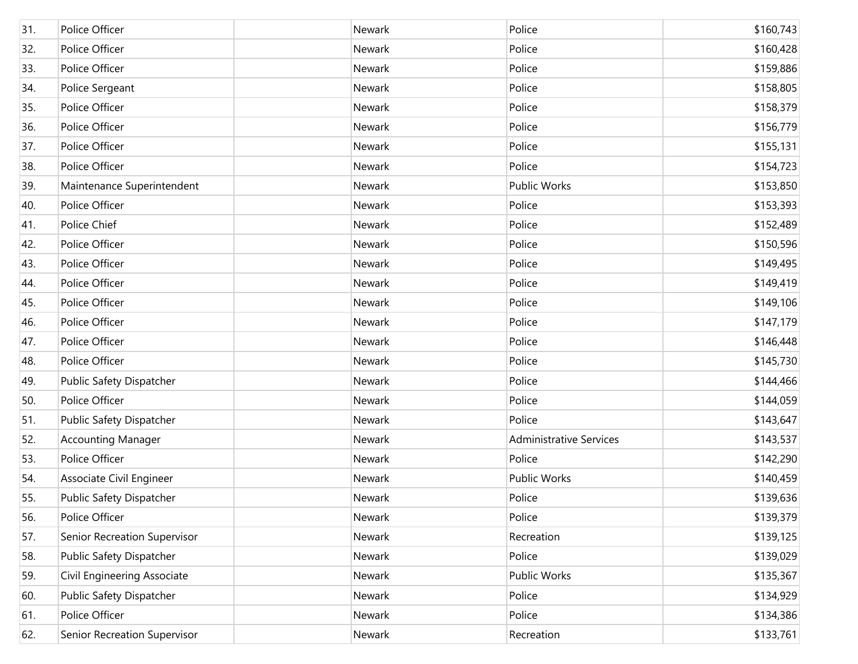| 31. | Police Officer               | Newark | Police                         | \$160,743 |
|-----|------------------------------|--------|--------------------------------|-----------|
| 32. | Police Officer               | Newark | Police                         | \$160,428 |
| 33. | Police Officer               | Newark | Police                         | \$159,886 |
| 34. | Police Sergeant              | Newark | Police                         | \$158,805 |
| 35. | Police Officer               | Newark | Police                         | \$158,379 |
| 36. | Police Officer               | Newark | Police                         | \$156,779 |
| 37. | Police Officer               | Newark | Police                         | \$155,131 |
| 38. | Police Officer               | Newark | Police                         | \$154,723 |
| 39. | Maintenance Superintendent   | Newark | Public Works                   | \$153,850 |
| 40. | Police Officer               | Newark | Police                         | \$153,393 |
| 41. | Police Chief                 | Newark | Police                         | \$152,489 |
| 42. | Police Officer               | Newark | Police                         | \$150,596 |
| 43. | Police Officer               | Newark | Police                         | \$149,495 |
| 44. | Police Officer               | Newark | Police                         | \$149,419 |
| 45. | Police Officer               | Newark | Police                         | \$149,106 |
| 46. | Police Officer               | Newark | Police                         | \$147,179 |
| 47. | Police Officer               | Newark | Police                         | \$146,448 |
| 48. | Police Officer               | Newark | Police                         | \$145,730 |
| 49. | Public Safety Dispatcher     | Newark | Police                         | \$144,466 |
| 50. | Police Officer               | Newark | Police                         | \$144,059 |
| 51. | Public Safety Dispatcher     | Newark | Police                         | \$143,647 |
| 52. | <b>Accounting Manager</b>    | Newark | <b>Administrative Services</b> | \$143,537 |
| 53. | Police Officer               | Newark | Police                         | \$142,290 |
| 54. | Associate Civil Engineer     | Newark | Public Works                   | \$140,459 |
| 55. | Public Safety Dispatcher     | Newark | Police                         | \$139,636 |
| 56. | Police Officer               | Newark | Police                         | \$139,379 |
| 57. | Senior Recreation Supervisor | Newark | Recreation                     | \$139,125 |
| 58. | Public Safety Dispatcher     | Newark | Police                         | \$139,029 |
| 59. | Civil Engineering Associate  | Newark | Public Works                   | \$135,367 |
| 60. | Public Safety Dispatcher     | Newark | Police                         | \$134,929 |
| 61. | Police Officer               | Newark | Police                         | \$134,386 |
| 62. | Senior Recreation Supervisor | Newark | Recreation                     | \$133,761 |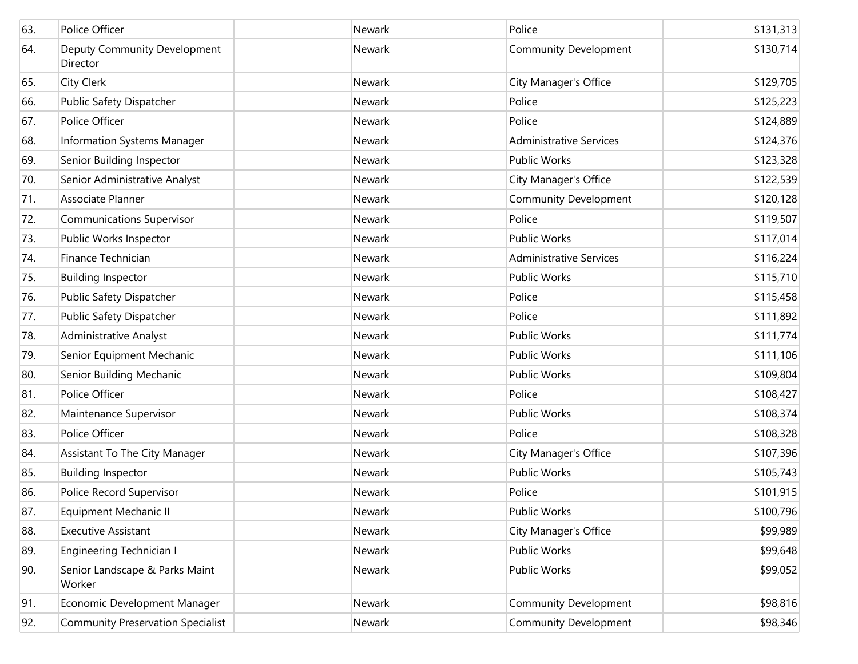| 63. | Police Officer                           | Newark | Police                         | \$131,313 |
|-----|------------------------------------------|--------|--------------------------------|-----------|
| 64. | Deputy Community Development<br>Director | Newark | <b>Community Development</b>   | \$130,714 |
| 65. | City Clerk                               | Newark | City Manager's Office          | \$129,705 |
| 66. | Public Safety Dispatcher                 | Newark | Police                         | \$125,223 |
| 67. | Police Officer                           | Newark | Police                         | \$124,889 |
| 68. | Information Systems Manager              | Newark | <b>Administrative Services</b> | \$124,376 |
| 69. | Senior Building Inspector                | Newark | <b>Public Works</b>            | \$123,328 |
| 70. | Senior Administrative Analyst            | Newark | City Manager's Office          | \$122,539 |
| 71. | Associate Planner                        | Newark | <b>Community Development</b>   | \$120,128 |
| 72. | <b>Communications Supervisor</b>         | Newark | Police                         | \$119,507 |
| 73. | Public Works Inspector                   | Newark | <b>Public Works</b>            | \$117,014 |
| 74. | Finance Technician                       | Newark | <b>Administrative Services</b> | \$116,224 |
| 75. | <b>Building Inspector</b>                | Newark | <b>Public Works</b>            | \$115,710 |
| 76. | Public Safety Dispatcher                 | Newark | Police                         | \$115,458 |
| 77. | Public Safety Dispatcher                 | Newark | Police                         | \$111,892 |
| 78. | <b>Administrative Analyst</b>            | Newark | <b>Public Works</b>            | \$111,774 |
| 79. | Senior Equipment Mechanic                | Newark | <b>Public Works</b>            | \$111,106 |
| 80. | Senior Building Mechanic                 | Newark | <b>Public Works</b>            | \$109,804 |
| 81. | Police Officer                           | Newark | Police                         | \$108,427 |
| 82. | Maintenance Supervisor                   | Newark | <b>Public Works</b>            | \$108,374 |
| 83. | Police Officer                           | Newark | Police                         | \$108,328 |
| 84. | Assistant To The City Manager            | Newark | City Manager's Office          | \$107,396 |
| 85. | <b>Building Inspector</b>                | Newark | <b>Public Works</b>            | \$105,743 |
| 86. | Police Record Supervisor                 | Newark | Police                         | \$101,915 |
| 87. | Equipment Mechanic II                    | Newark | Public Works                   | \$100,796 |
| 88. | <b>Executive Assistant</b>               | Newark | City Manager's Office          | \$99,989  |
| 89. | Engineering Technician I                 | Newark | Public Works                   | \$99,648  |
| 90. | Senior Landscape & Parks Maint<br>Worker | Newark | Public Works                   | \$99,052  |
| 91. | Economic Development Manager             | Newark | <b>Community Development</b>   | \$98,816  |
| 92. | <b>Community Preservation Specialist</b> | Newark | <b>Community Development</b>   | \$98,346  |